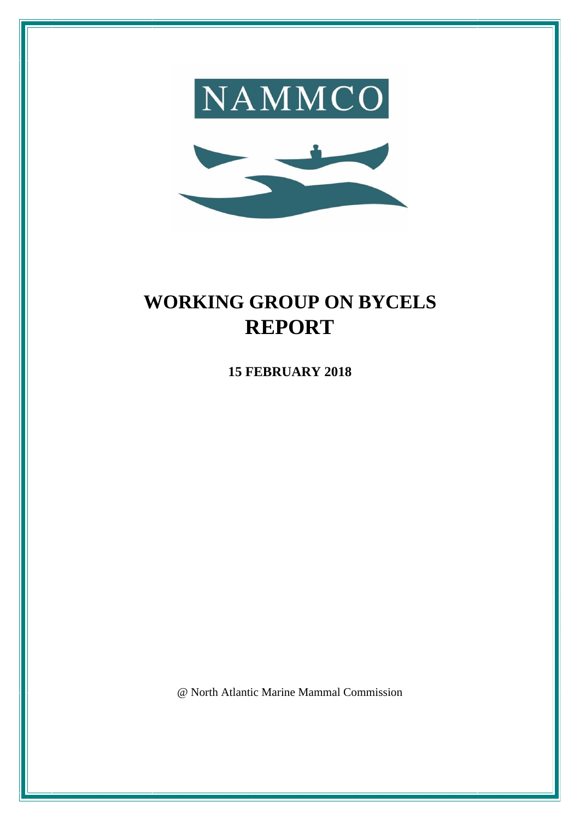



# **WORKING GROUP ON BYCELS REPORT**

**15 FEBRUARY 2018**

@ North Atlantic Marine Mammal Commission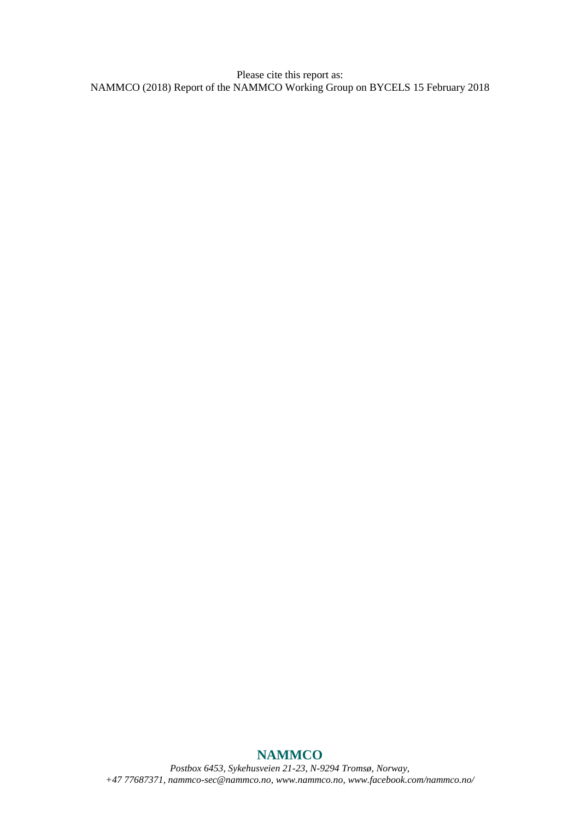Please cite this report as: NAMMCO (2018) Report of the NAMMCO Working Group on BYCELS 15 February 2018

# **NAMMCO**

*Postbox 6453, Sykehusveien 21-23, N-9294 Tromsø, Norway, +47 77687371[, nammco-sec@nammco.no,](mailto:nammco-sec@nammco.no) [www.nammco.no,](http://www.nammco.no/) [www.facebook.com/nammco.no/](http://www.facebook.com/nammco.no/)*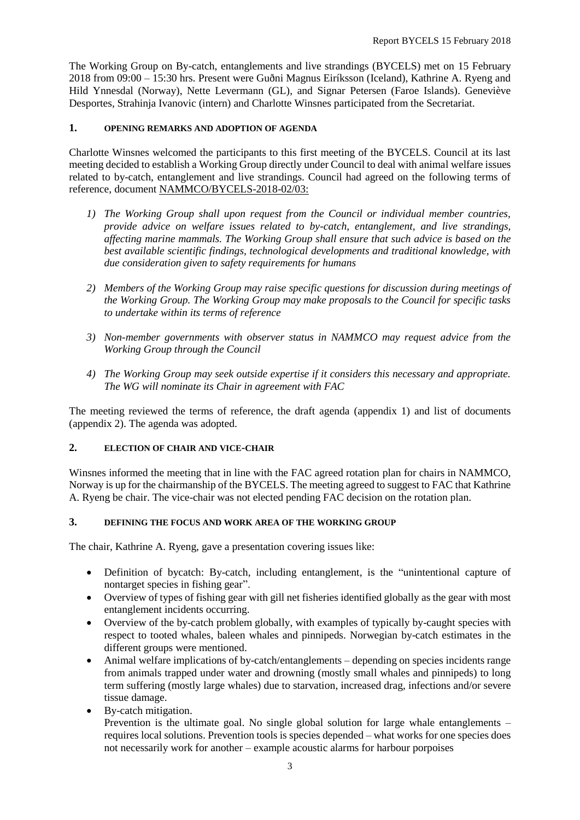The Working Group on By-catch, entanglements and live strandings (BYCELS) met on 15 February 2018 from 09:00 – 15:30 hrs. Present were Guðni Magnus Eiríksson (Iceland), Kathrine A. Ryeng and Hild Ynnesdal (Norway), Nette Levermann (GL), and Signar Petersen (Faroe Islands). Geneviève Desportes, Strahinja Ivanovic (intern) and Charlotte Winsnes participated from the Secretariat.

#### **1. OPENING REMARKS AND ADOPTION OF AGENDA**

Charlotte Winsnes welcomed the participants to this first meeting of the BYCELS. Council at its last meeting decided to establish a Working Group directly under Council to deal with animal welfare issues related to by-catch, entanglement and live strandings. Council had agreed on the following terms of reference, document NAMMCO/BYCELS-2018-02/03:

- *1) The Working Group shall upon request from the Council or individual member countries, provide advice on welfare issues related to by-catch, entanglement, and live strandings, affecting marine mammals. The Working Group shall ensure that such advice is based on the best available scientific findings, technological developments and traditional knowledge, with due consideration given to safety requirements for humans*
- *2) Members of the Working Group may raise specific questions for discussion during meetings of the Working Group. The Working Group may make proposals to the Council for specific tasks to undertake within its terms of reference*
- *3) Non-member governments with observer status in NAMMCO may request advice from the Working Group through the Council*
- *4) The Working Group may seek outside expertise if it considers this necessary and appropriate. The WG will nominate its Chair in agreement with FAC*

The meeting reviewed the terms of reference, the draft agenda (appendix 1) and list of documents (appendix 2). The agenda was adopted.

### **2. ELECTION OF CHAIR AND VICE-CHAIR**

Winsnes informed the meeting that in line with the FAC agreed rotation plan for chairs in NAMMCO, Norway is up for the chairmanship of the BYCELS. The meeting agreed to suggest to FAC that Kathrine A. Ryeng be chair. The vice-chair was not elected pending FAC decision on the rotation plan.

#### **3. DEFINING THE FOCUS AND WORK AREA OF THE WORKING GROUP**

The chair, Kathrine A. Ryeng, gave a presentation covering issues like:

- Definition of bycatch: By-catch, including entanglement, is the "unintentional capture of nontarget species in fishing gear".
- Overview of types of fishing gear with gill net fisheries identified globally as the gear with most entanglement incidents occurring.
- Overview of the by-catch problem globally, with examples of typically by-caught species with respect to tooted whales, baleen whales and pinnipeds. Norwegian by-catch estimates in the different groups were mentioned.
- Animal welfare implications of by-catch/entanglements depending on species incidents range from animals trapped under water and drowning (mostly small whales and pinnipeds) to long term suffering (mostly large whales) due to starvation, increased drag, infections and/or severe tissue damage.
- By-catch mitigation.

Prevention is the ultimate goal. No single global solution for large whale entanglements – requires local solutions. Prevention tools is species depended – what works for one species does not necessarily work for another – example acoustic alarms for harbour porpoises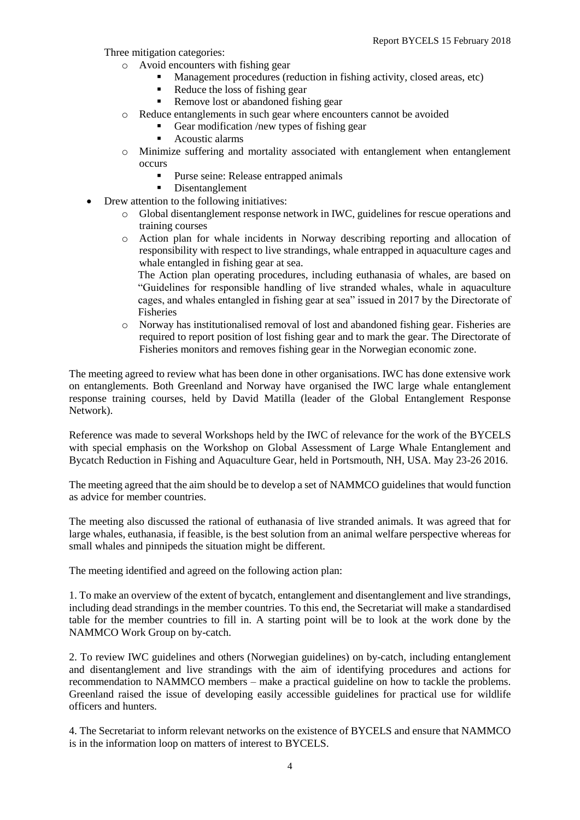Three mitigation categories:

- o Avoid encounters with fishing gear
	- Management procedures (reduction in fishing activity, closed areas, etc)
	- Reduce the loss of fishing gear
	- Remove lost or abandoned fishing gear
- o Reduce entanglements in such gear where encounters cannot be avoided
	- Gear modification /new types of fishing gear
	- Acoustic alarms
- o Minimize suffering and mortality associated with entanglement when entanglement occurs
	- Purse seine: Release entrapped animals
	- **•** Disentanglement
- Drew attention to the following initiatives:
	- o Global disentanglement response network in IWC, guidelines for rescue operations and training courses
	- o Action plan for whale incidents in Norway describing reporting and allocation of responsibility with respect to live strandings, whale entrapped in aquaculture cages and whale entangled in fishing gear at sea.

The Action plan operating procedures, including euthanasia of whales, are based on "Guidelines for responsible handling of live stranded whales, whale in aquaculture cages, and whales entangled in fishing gear at sea" issued in 2017 by the Directorate of Fisheries

o Norway has institutionalised removal of lost and abandoned fishing gear. Fisheries are required to report position of lost fishing gear and to mark the gear. The Directorate of Fisheries monitors and removes fishing gear in the Norwegian economic zone.

The meeting agreed to review what has been done in other organisations. IWC has done extensive work on entanglements. Both Greenland and Norway have organised the IWC large whale entanglement response training courses, held by David Matilla (leader of the Global Entanglement Response Network).

Reference was made to several Workshops held by the IWC of relevance for the work of the BYCELS with special emphasis on the Workshop on Global Assessment of Large Whale Entanglement and Bycatch Reduction in Fishing and Aquaculture Gear, held in Portsmouth, NH, USA. May 23-26 2016.

The meeting agreed that the aim should be to develop a set of NAMMCO guidelines that would function as advice for member countries.

The meeting also discussed the rational of euthanasia of live stranded animals. It was agreed that for large whales, euthanasia, if feasible, is the best solution from an animal welfare perspective whereas for small whales and pinnipeds the situation might be different.

The meeting identified and agreed on the following action plan:

1. To make an overview of the extent of bycatch, entanglement and disentanglement and live strandings, including dead strandings in the member countries. To this end, the Secretariat will make a standardised table for the member countries to fill in. A starting point will be to look at the work done by the NAMMCO Work Group on by-catch.

2. To review IWC guidelines and others (Norwegian guidelines) on by-catch, including entanglement and disentanglement and live strandings with the aim of identifying procedures and actions for recommendation to NAMMCO members – make a practical guideline on how to tackle the problems. Greenland raised the issue of developing easily accessible guidelines for practical use for wildlife officers and hunters.

4. The Secretariat to inform relevant networks on the existence of BYCELS and ensure that NAMMCO is in the information loop on matters of interest to BYCELS.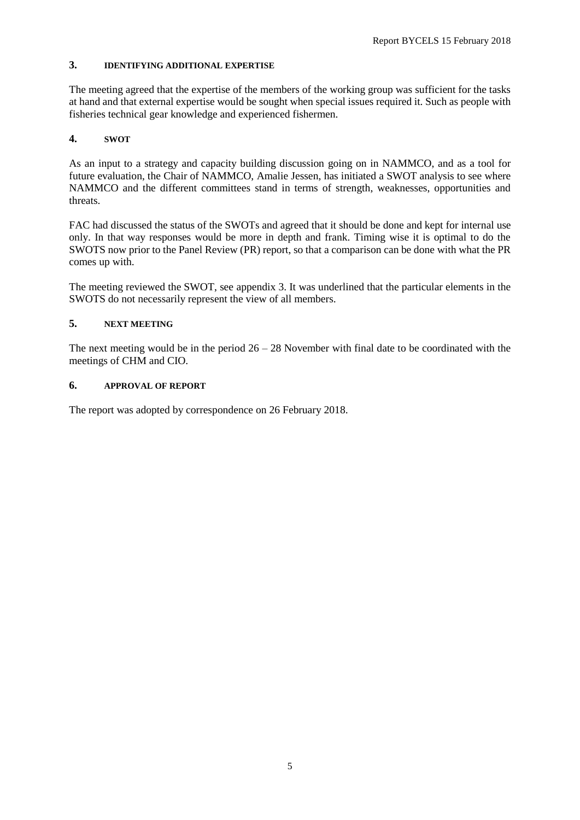# **3. IDENTIFYING ADDITIONAL EXPERTISE**

The meeting agreed that the expertise of the members of the working group was sufficient for the tasks at hand and that external expertise would be sought when special issues required it. Such as people with fisheries technical gear knowledge and experienced fishermen.

# **4. SWOT**

As an input to a strategy and capacity building discussion going on in NAMMCO, and as a tool for future evaluation, the Chair of NAMMCO, Amalie Jessen, has initiated a SWOT analysis to see where NAMMCO and the different committees stand in terms of strength, weaknesses, opportunities and threats.

FAC had discussed the status of the SWOTs and agreed that it should be done and kept for internal use only. In that way responses would be more in depth and frank. Timing wise it is optimal to do the SWOTS now prior to the Panel Review (PR) report, so that a comparison can be done with what the PR comes up with.

The meeting reviewed the SWOT, see appendix 3. It was underlined that the particular elements in the SWOTS do not necessarily represent the view of all members.

# **5. NEXT MEETING**

The next meeting would be in the period  $26 - 28$  November with final date to be coordinated with the meetings of CHM and CIO.

# **6. APPROVAL OF REPORT**

The report was adopted by correspondence on 26 February 2018.